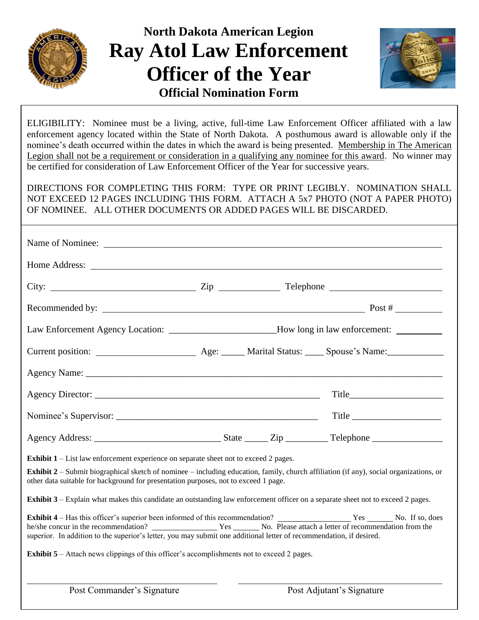

# **North Dakota American Legion Ray Atol Law Enforcement Officer of the Year Official Nomination Form**



ELIGIBILITY: Nominee must be a living, active, full-time Law Enforcement Officer affiliated with a law enforcement agency located within the State of North Dakota. A posthumous award is allowable only if the nominee's death occurred within the dates in which the award is being presented. Membership in The American Legion shall not be a requirement or consideration in a qualifying any nominee for this award. No winner may be certified for consideration of Law Enforcement Officer of the Year for successive years.

DIRECTIONS FOR COMPLETING THIS FORM: TYPE OR PRINT LEGIBLY. NOMINATION SHALL NOT EXCEED 12 PAGES INCLUDING THIS FORM. ATTACH A 5x7 PHOTO (NOT A PAPER PHOTO) OF NOMINEE. ALL OTHER DOCUMENTS OR ADDED PAGES WILL BE DISCARDED.

|                                                                                                                                                                                                                               |  | Law Enforcement Agency Location: ______________________How long in law enforcement: _______________ |                         |
|-------------------------------------------------------------------------------------------------------------------------------------------------------------------------------------------------------------------------------|--|-----------------------------------------------------------------------------------------------------|-------------------------|
|                                                                                                                                                                                                                               |  |                                                                                                     |                         |
|                                                                                                                                                                                                                               |  |                                                                                                     |                         |
|                                                                                                                                                                                                                               |  |                                                                                                     | $Title$ $\qquad \qquad$ |
|                                                                                                                                                                                                                               |  |                                                                                                     |                         |
|                                                                                                                                                                                                                               |  |                                                                                                     |                         |
| <b>Exhibit 1</b> – List law enforcement experience on separate sheet not to exceed 2 pages.                                                                                                                                   |  |                                                                                                     |                         |
| Exhibit 2 - Submit biographical sketch of nominee - including education, family, church affiliation (if any), social organizations, or<br>other data suitable for background for presentation purposes, not to exceed 1 page. |  |                                                                                                     |                         |
| <b>Exhibit 3</b> – Explain what makes this candidate an outstanding law enforcement officer on a separate sheet not to exceed 2 pages.                                                                                        |  |                                                                                                     |                         |
| Exhibit 4 - Has this officer's superior been informed of this recommendation? Nes No. If so, does<br>superior. In addition to the superior's letter, you may submit one additional letter of recommendation, if desired.      |  |                                                                                                     |                         |
| <b>Exhibit 5</b> – Attach news clippings of this officer's accomplishments not to exceed 2 pages.                                                                                                                             |  |                                                                                                     |                         |
|                                                                                                                                                                                                                               |  |                                                                                                     |                         |
| Post Commander's Signature                                                                                                                                                                                                    |  | Post Adjutant's Signature                                                                           |                         |